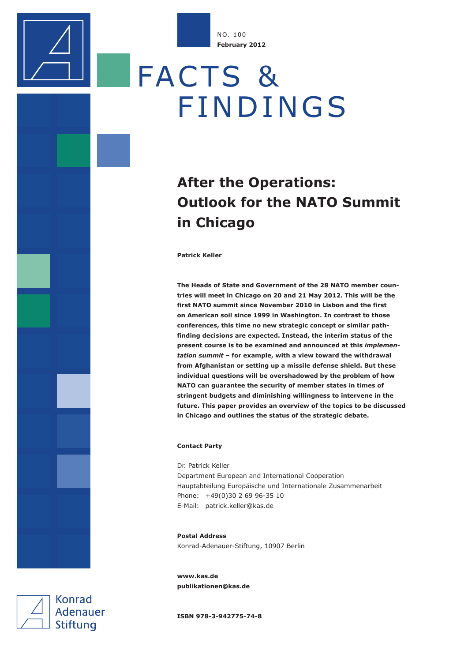NO. 100 **February 2012**

# FACTS & FINDINGS

## **After the Operations: Outlook for the NATO Summit in Chicago**

**Patrick Keller**

**The Heads of State and Government of the 28 NATO member countries will meet in Chicago on 20 and 21 May 2012. This will be the first NATO summit since November 2010 in Lisbon and the first on American soil since 1999 in Washington. In contrast to those conferences, this time no new strategic concept or similar pathfinding decisions are expected. Instead, the interim status of the present course is to be examined and announced at this** *implementation summit* **– for example, with a view toward the withdrawal from Afghanistan or setting up a missile defense shield. But these individual questions will be overshadowed by the problem of how NATO can guarantee the security of member states in times of stringent budgets and diminishing willingness to intervene in the future. This paper provides an overview of the topics to be discussed in Chicago and outlines the status of the strategic debate.**

#### **Contact Party**

Dr. Patrick Keller Department European and International Cooperation Hauptabteilung Europäische und Internationale Zusammenarbeit Phone: +49(0)30 2 69 96-35 10 E-Mail: patrick.keller@kas.de

**Postal Address** Konrad-Adenauer-Stiftung, 10907 Berlin

**www.kas.de publikationen@kas.de**

**Konrad Adenauer** Stiftung

**ISBN 978-3-942775-74-8**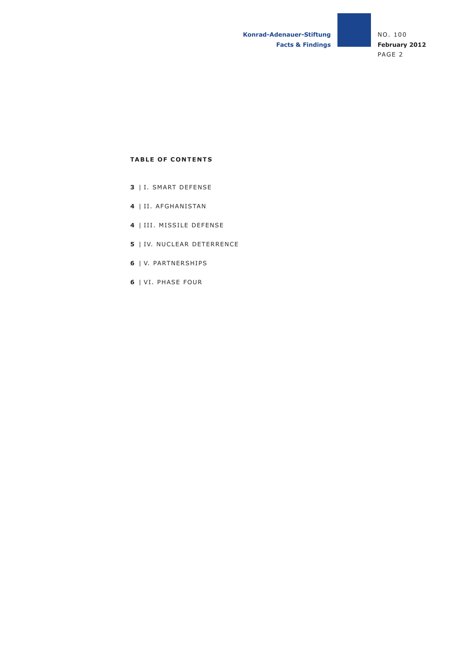### **TABLE OF CONTENTS**

- **3** | I. SMART DEFENSE
- **4** | II. AFGHANISTAN
- **4** | III. MISSILE DEFENSE
- **5** | IV. NUCLEAR DETERRENCE
- **6** | V. PARTNERSHIPS
- **6** | VI. PHASE FOUR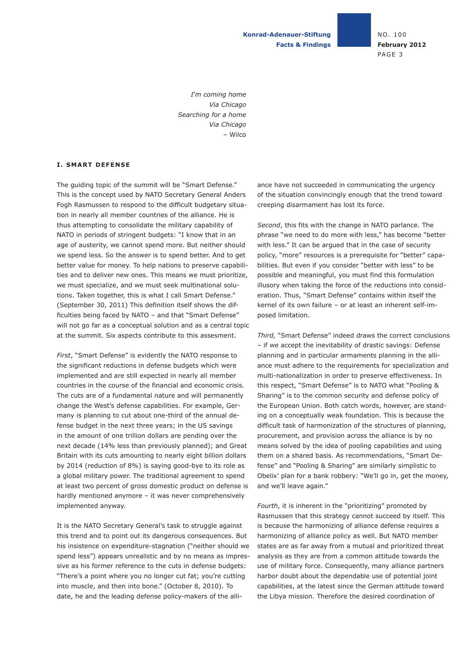**Konrad-Adenauer-Stiftung Facts & Findings** NO. 100 **February 2012** PAGE 3

*I*'*m coming home Via Chicago Searching for a home Via Chicago* – Wilco

#### **I. SMART DEFENSE**

The guiding topic of the summit will be "Smart Defense." This is the concept used by NATO Secretary General Anders Fogh Rasmussen to respond to the difficult budgetary situation in nearly all member countries of the alliance. He is thus attempting to consolidate the military capability of NATO in periods of stringent budgets: "I know that in an age of austerity, we cannot spend more. But neither should we spend less. So the answer is to spend better. And to get better value for money. To help nations to preserve capabilities and to deliver new ones. This means we must prioritize, we must specialize, and we must seek multinational solutions. Taken together, this is what I call Smart Defense." (September 30, 2011) This definition itself shows the difficulties being faced by NATO – and that "Smart Defense" will not go far as a conceptual solution and as a central topic at the summit. Six aspects contribute to this assesment.

*First*, "Smart Defense" is evidently the NATO response to the significant reductions in defense budgets which were implemented and are still expected in nearly all member countries in the course of the financial and economic crisis. The cuts are of a fundamental nature and will permanently change the West's defense capabilities. For example, Germany is planning to cut about one-third of the annual defense budget in the next three years; in the US savings in the amount of one trillion dollars are pending over the next decade (14% less than previously planned); and Great Britain with its cuts amounting to nearly eight billion dollars by 2014 (reduction of 8%) is saying good-bye to its role as a global military power. The traditional agreement to spend at least two percent of gross domestic product on defense is hardly mentioned anymore – it was never comprehensively implemented anyway.

It is the NATO Secretary General's task to struggle against this trend and to point out its dangerous consequences. But his insistence on expenditure-stagnation ("neither should we spend less") appears unrealistic and by no means as impressive as his former reference to the cuts in defense budgets: "There's a point where you no longer cut fat; you're cutting into muscle, and then into bone." (October 8, 2010). To date, he and the leading defense policy-makers of the alliance have not succeeded in communicating the urgency of the situation convincingly enough that the trend toward creeping disarmament has lost its force.

*Second*, this fits with the change in NATO parlance. The phrase "we need to do more with less," has become "better with less." It can be argued that in the case of security policy, "more" resources is a prerequisite for "better" capabilities. But even if you consider "better with less" to be possible and meaningful, you must find this formulation illusory when taking the force of the reductions into consideration. Thus, "Smart Defense" contains within itself the kernel of its own failure – or at least an inherent self-imposed limitation.

*Third,* "Smart Defense" indeed draws the correct conclusions – if we accept the inevitability of drastic savings: Defense planning and in particular armaments planning in the alliance must adhere to the requirements for specialization and multi-nationalization in order to preserve effectiveness. In this respect, "Smart Defense" is to NATO what "Pooling & Sharing" is to the common security and defense policy of the European Union. Both catch words, however, are standing on a conceptually weak foundation. This is because the difficult task of harmonization of the structures of planning, procurement, and provision across the alliance is by no means solved by the idea of pooling capabilities and using them on a shared basis. As recommendations, "Smart Defense" and "Pooling & Sharing" are similarly simplistic to Obelix' plan for a bank robbery: "We'll go in, get the money, and we'll leave again."

*Fourth*, it is inherent in the "prioritizing" promoted by Rasmussen that this strategy cannot succeed by itself. This is because the harmonizing of alliance defense requires a harmonizing of alliance policy as well. But NATO member states are as far away from a mutual and prioritized threat analysis as they are from a common attitude towards the use of military force. Consequently, many alliance partners harbor doubt about the dependable use of potential joint capabilities, at the latest since the German attitude toward the Libya mission. Therefore the desired coordination of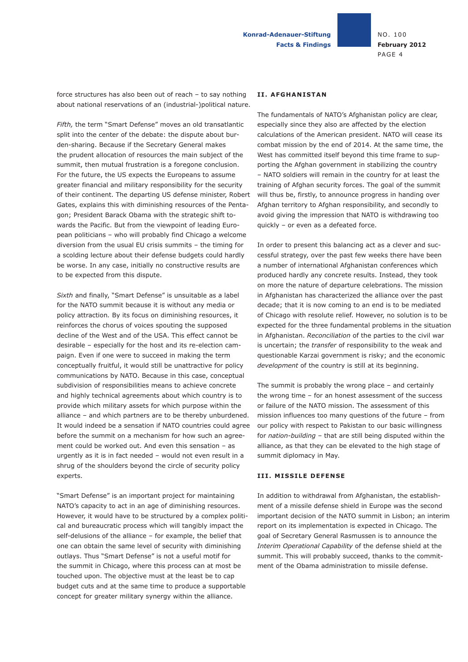force structures has also been out of reach – to say nothing about national reservations of an (industrial-)political nature.

*Fifth,* the term "Smart Defense" moves an old transatlantic split into the center of the debate: the dispute about burden-sharing. Because if the Secretary General makes the prudent allocation of resources the main subject of the summit, then mutual frustration is a foregone conclusion. For the future, the US expects the Europeans to assume greater financial and military responsibility for the security of their continent. The departing US defense minister, Robert Gates, explains this with diminishing resources of the Pentagon; President Barack Obama with the strategic shift towards the Pacific. But from the viewpoint of leading European politicians – who will probably find Chicago a welcome diversion from the usual EU crisis summits – the timing for a scolding lecture about their defense budgets could hardly be worse. In any case, initially no constructive results are to be expected from this dispute.

*Sixth* and finally, "Smart Defense" is unsuitable as a label for the NATO summit because it is without any media or policy attraction*.* By its focus on diminishing resources, it reinforces the chorus of voices spouting the supposed decline of the West and of the USA. This effect cannot be desirable – especially for the host and its re-election campaign. Even if one were to succeed in making the term conceptually fruitful, it would still be unattractive for policy communications by NATO. Because in this case, conceptual subdivision of responsibilities means to achieve concrete and highly technical agreements about which country is to provide which military assets for which purpose within the alliance – and which partners are to be thereby unburdened. It would indeed be a sensation if NATO countries could agree before the summit on a mechanism for how such an agreement could be worked out. And even this sensation – as urgently as it is in fact needed – would not even result in a shrug of the shoulders beyond the circle of security policy experts.

"Smart Defense" is an important project for maintaining NATO's capacity to act in an age of diminishing resources. However, it would have to be structured by a complex political and bureaucratic process which will tangibly impact the self-delusions of the alliance – for example, the belief that one can obtain the same level of security with diminishing outlays. Thus "Smart Defense" is not a useful motif for the summit in Chicago, where this process can at most be touched upon. The objective must at the least be to cap budget cuts and at the same time to produce a supportable concept for greater military synergy within the alliance.

#### **II. AFGHANISTAN**

The fundamentals of NATO's Afghanistan policy are clear, especially since they also are affected by the election calculations of the American president. NATO will cease its combat mission by the end of 2014. At the same time, the West has committed itself beyond this time frame to supporting the Afghan government in stabilizing the country – NATO soldiers will remain in the country for at least the training of Afghan security forces. The goal of the summit will thus be, firstly, to announce progress in handing over Afghan territory to Afghan responsibility, and secondly to avoid giving the impression that NATO is withdrawing too quickly – or even as a defeated force.

In order to present this balancing act as a clever and successful strategy, over the past few weeks there have been a number of international Afghanistan conferences which produced hardly any concrete results. Instead, they took on more the nature of departure celebrations. The mission in Afghanistan has characterized the alliance over the past decade; that it is now coming to an end is to be mediated of Chicago with resolute relief. However, no solution is to be expected for the three fundamental problems in the situation in Afghanistan. *Reconciliation* of the parties to the civil war is uncertain; the *transfer* of responsibility to the weak and questionable Karzai government is risky; and the economic *development* of the country is still at its beginning.

The summit is probably the wrong place – and certainly the wrong time – for an honest assessment of the success or failure of the NATO mission. The assessment of this mission influences too many questions of the future – from our policy with respect to Pakistan to our basic willingness for *nation-building* – that are still being disputed within the alliance, as that they can be elevated to the high stage of summit diplomacy in May.

#### **III. MISSILE DEFENSE**

In addition to withdrawal from Afghanistan, the establishment of a missile defense shield in Europe was the second important decision of the NATO summit in Lisbon; an interim report on its implementation is expected in Chicago. The goal of Secretary General Rasmussen is to announce the *Interim Operational Capability* of the defense shield at the summit. This will probably succeed, thanks to the commitment of the Obama administration to missile defense.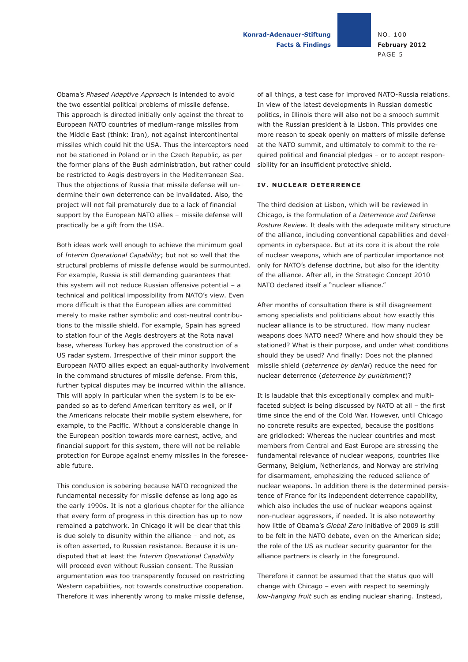**Konrad-Adenauer-Stiftung Facts & Findings**

Obama's *Phased Adaptive Approach* is intended to avoid the two essential political problems of missile defense. This approach is directed initially only against the threat to European NATO countries of medium-range missiles from the Middle East (think: Iran), not against intercontinental missiles which could hit the USA. Thus the interceptors need not be stationed in Poland or in the Czech Republic, as per the former plans of the Bush administration, but rather could be restricted to Aegis destroyers in the Mediterranean Sea. Thus the objections of Russia that missile defense will undermine their own deterrence can be invalidated. Also, the project will not fail prematurely due to a lack of financial support by the European NATO allies – missile defense will practically be a gift from the USA.

Both ideas work well enough to achieve the minimum goal of *Interim Operational Capability*; but not so well that the structural problems of missile defense would be surmounted. For example, Russia is still demanding guarantees that this system will not reduce Russian offensive potential – a technical and political impossibility from NATO's view. Even more difficult is that the European allies are committed merely to make rather symbolic and cost-neutral contributions to the missile shield. For example, Spain has agreed to station four of the Aegis destroyers at the Rota naval base, whereas Turkey has approved the construction of a US radar system. Irrespective of their minor support the European NATO allies expect an equal-authority involvement in the command structures of missile defense. From this, further typical disputes may be incurred within the alliance. This will apply in particular when the system is to be expanded so as to defend American territory as well, or if the Americans relocate their mobile system elsewhere, for example, to the Pacific. Without a considerable change in the European position towards more earnest, active, and financial support for this system, there will not be reliable protection for Europe against enemy missiles in the foreseeable future.

This conclusion is sobering because NATO recognized the fundamental necessity for missile defense as long ago as the early 1990s. It is not a glorious chapter for the alliance that every form of progress in this direction has up to now remained a patchwork. In Chicago it will be clear that this is due solely to disunity within the alliance – and not, as is often asserted, to Russian resistance. Because it is undisputed that at least the *Interim Operational Capability* will proceed even without Russian consent. The Russian argumentation was too transparently focused on restricting Western capabilities, not towards constructive cooperation. Therefore it was inherently wrong to make missile defense,

of all things, a test case for improved NATO-Russia relations. In view of the latest developments in Russian domestic politics, in Illinois there will also not be a smooch summit with the Russian president à la Lisbon. This provides one more reason to speak openly on matters of missile defense at the NATO summit, and ultimately to commit to the required political and financial pledges – or to accept responsibility for an insufficient protective shield.

#### **IV. NUCLEAR DETERRENCE**

The third decision at Lisbon, which will be reviewed in Chicago, is the formulation of a *Deterrence and Defense Posture Review*. It deals with the adequate military structure of the alliance, including conventional capabilities and developments in cyberspace. But at its core it is about the role of nuclear weapons, which are of particular importance not only for NATO's defense doctrine, but also for the identity of the alliance. After all, in the Strategic Concept 2010 NATO declared itself a "nuclear alliance."

After months of consultation there is still disagreement among specialists and politicians about how exactly this nuclear alliance is to be structured. How many nuclear weapons does NATO need? Where and how should they be stationed? What is their purpose, and under what conditions should they be used? And finally: Does not the planned missile shield (*deterrence by denial*) reduce the need for nuclear deterrence (*deterrence by punishment*)?

It is laudable that this exceptionally complex and multifaceted subject is being discussed by NATO at all – the first time since the end of the Cold War. However, until Chicago no concrete results are expected, because the positions are gridlocked: Whereas the nuclear countries and most members from Central and East Europe are stressing the fundamental relevance of nuclear weapons, countries like Germany, Belgium, Netherlands, and Norway are striving for disarmament, emphasizing the reduced salience of nuclear weapons. In addition there is the determined persistence of France for its independent deterrence capability, which also includes the use of nuclear weapons against non-nuclear aggressors, if needed. It is also noteworthy how little of Obama's *Global Zero* initiative of 2009 is still to be felt in the NATO debate, even on the American side; the role of the US as nuclear security guarantor for the alliance partners is clearly in the foreground.

Therefore it cannot be assumed that the status quo will change with Chicago – even with respect to seemingly *low-hanging fruit* such as ending nuclear sharing. Instead,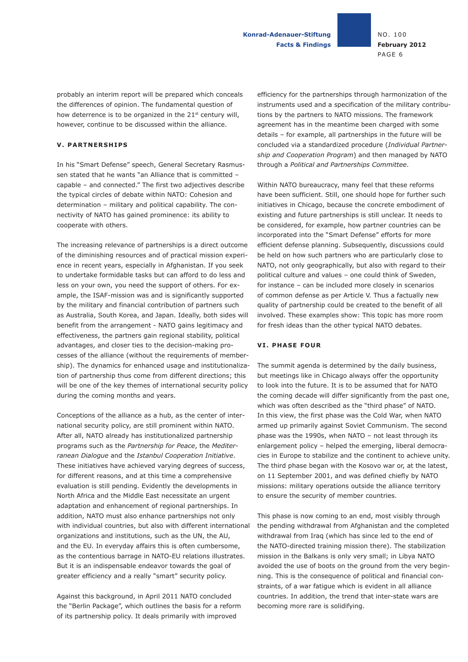**Konrad-Adenauer-Stiftung Facts & Findings** NO. 100 **February 2012** PAGE 6

probably an interim report will be prepared which conceals the differences of opinion. The fundamental question of how deterrence is to be organized in the 21<sup>st</sup> century will, however, continue to be discussed within the alliance.

#### **V. PARTNERSHIPS**

In his "Smart Defense" speech, General Secretary Rasmussen stated that he wants "an Alliance that is committed – capable – and connected." The first two adjectives describe the typical circles of debate within NATO: Cohesion and determination – military and political capability. The connectivity of NATO has gained prominence: its ability to cooperate with others.

The increasing relevance of partnerships is a direct outcome of the diminishing resources and of practical mission experience in recent years, especially in Afghanistan. If you seek to undertake formidable tasks but can afford to do less and less on your own, you need the support of others. For example, the ISAF-mission was and is significantly supported by the military and financial contribution of partners such as Australia, South Korea, and Japan. Ideally, both sides will benefit from the arrangement - NATO gains legitimacy and effectiveness, the partners gain regional stability, political advantages, and closer ties to the decision-making processes of the alliance (without the requirements of membership). The dynamics for enhanced usage and institutionalization of partnership thus come from different directions; this will be one of the key themes of international security policy during the coming months and years.

Conceptions of the alliance as a hub, as the center of international security policy, are still prominent within NATO. After all, NATO already has institutionalized partnership programs such as the *Partnership for Peace*, the *Mediterranean Dialogue* and the *Istanbul Cooperation Initiative*. These initiatives have achieved varying degrees of success, for different reasons, and at this time a comprehensive evaluation is still pending. Evidently the developments in North Africa and the Middle East necessitate an urgent adaptation and enhancement of regional partnerships. In addition, NATO must also enhance partnerships not only with individual countries, but also with different international organizations and institutions, such as the UN, the AU, and the EU. In everyday affairs this is often cumbersome, as the contentious barrage in NATO-EU relations illustrates. But it is an indispensable endeavor towards the goal of greater efficiency and a really "smart" security policy.

Against this background, in April 2011 NATO concluded the "Berlin Package", which outlines the basis for a reform of its partnership policy. It deals primarily with improved

efficiency for the partnerships through harmonization of the instruments used and a specification of the military contributions by the partners to NATO missions. The framework agreement has in the meantime been charged with some details – for example, all partnerships in the future will be concluded via a standardized procedure (*Individual Partnership and Cooperation Program*) and then managed by NATO through a *Political and Partnerships Committee*.

Within NATO bureaucracy, many feel that these reforms have been sufficient. Still, one should hope for further such initiatives in Chicago, because the concrete embodiment of existing and future partnerships is still unclear. It needs to be considered, for example, how partner countries can be incorporated into the "Smart Defense" efforts for more efficient defense planning. Subsequently, discussions could be held on how such partners who are particularly close to NATO, not only geographically, but also with regard to their political culture and values – one could think of Sweden, for instance – can be included more closely in scenarios of common defense as per Article V. Thus a factually new quality of partnership could be created to the benefit of all involved. These examples show: This topic has more room for fresh ideas than the other typical NATO debates.

#### **VI. PHASE FOUR**

The summit agenda is determined by the daily business, but meetings like in Chicago always offer the opportunity to look into the future. It is to be assumed that for NATO the coming decade will differ significantly from the past one, which was often described as the "third phase" of NATO. In this view, the first phase was the Cold War, when NATO armed up primarily against Soviet Communism. The second phase was the 1990s, when NATO – not least through its enlargement policy – helped the emerging, liberal democracies in Europe to stabilize and the continent to achieve unity. The third phase began with the Kosovo war or, at the latest, on 11 September 2001, and was defined chiefly by NATO missions: military operations outside the alliance territory to ensure the security of member countries.

This phase is now coming to an end, most visibly through the pending withdrawal from Afghanistan and the completed withdrawal from Iraq (which has since led to the end of the NATO-directed training mission there). The stabilization mission in the Balkans is only very small; in Libya NATO avoided the use of boots on the ground from the very beginning. This is the consequence of political and financial constraints, of a war fatigue which is evident in all alliance countries. In addition, the trend that inter-state wars are becoming more rare is solidifying.